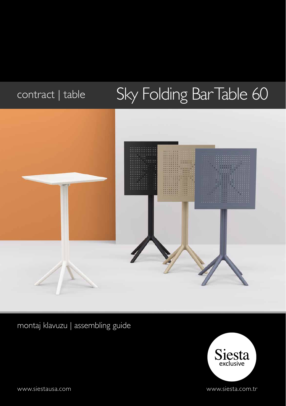# contract | table Sky Folding Bar Table 60



montaj klavuzu | assembling guide



[www.siestausa.com](http://siestausa.com) [www.siesta.com.tr](http://siesta.com.tr)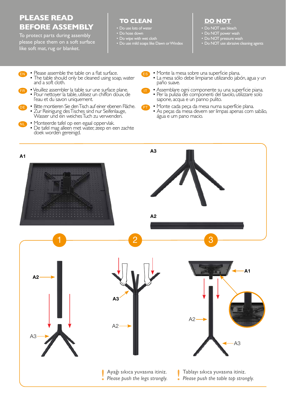# **PLEASE READ BEFORE ASSEMBLY**

To protect parts during assembly please place them on a soft surface like soft mat, rug or blanket.

EN

## **TO CLEAN**

- Do use lots of water
- 
- 
- Do wipe with wet cloth Do use mild soaps like Dawn or Windex

### **DO NOT**

- Do NOT use bleach
- Do NOT power wash
- 
- Do NOT pressure wash Do NOT use abrasive cleaning agents

- Please assemble the table on a flat surface. • The table should only be cleaned using soap, water and a soft cloth.
- •Veuillez assembler la table sur une surface plane. Pour nettoyer la table, utilisez un chiffon doux, de l'eau et du savon uniquement. FR
	- Bitte montieren Sie den Tisch auf einer ebenen Fläche. • Zur Reinigung des Tisches sind nur Seifenlauge, Wasser und ein weiches Tuch zu verwenden.
- NL Monteerde tafel op een egaal oppervlak.
	- De tafel mag alleen met water, zeep en een zachte doek worden gereinigd.
- Monte la mesa sobre una superficie plana. • La mesa sólo debe limpiarse utilizando jabón, agua y un paño suave. ES
	- •Assemblare ogni componente su una superficie piana. Per la pulizia dei componenti del tavolo, utilizzare solo sapone, acqua e un panno pulito.
- Monte cada peça da mesa numa superfície plana. • As peças da mesa devem ser limpas apenas com sabão, água e um pano macio. PT

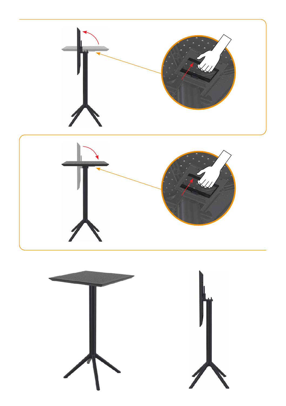